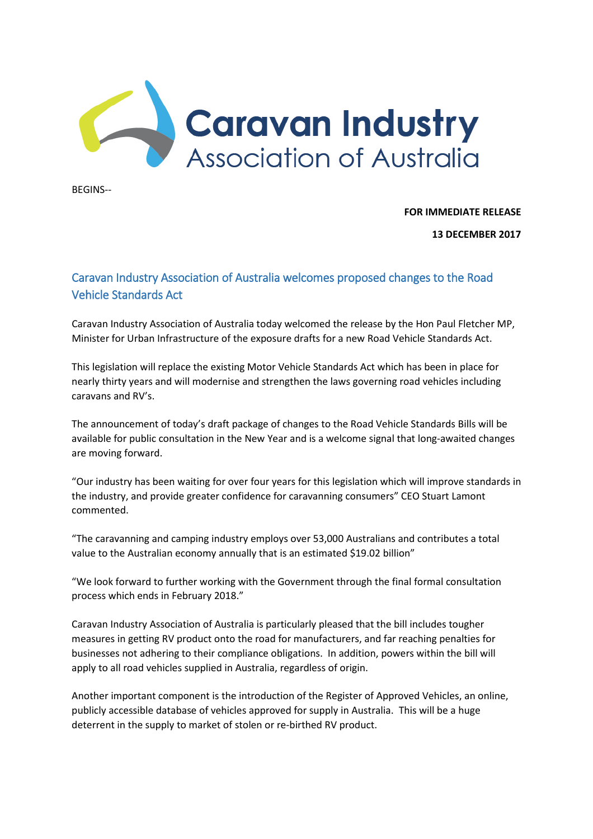

BEGINS--

**FOR IMMEDIATE RELEASE**

**13 DECEMBER 2017**

## Caravan Industry Association of Australia welcomes proposed changes to the Road Vehicle Standards Act

Caravan Industry Association of Australia today welcomed the release by the Hon Paul Fletcher MP, Minister for Urban Infrastructure of the exposure drafts for a new Road Vehicle Standards Act.

This legislation will replace the existing Motor Vehicle Standards Act which has been in place for nearly thirty years and will modernise and strengthen the laws governing road vehicles including caravans and RV's.

The announcement of today's draft package of changes to the Road Vehicle Standards Bills will be available for public consultation in the New Year and is a welcome signal that long-awaited changes are moving forward.

"Our industry has been waiting for over four years for this legislation which will improve standards in the industry, and provide greater confidence for caravanning consumers" CEO Stuart Lamont commented.

"The caravanning and camping industry employs over 53,000 Australians and contributes a total value to the Australian economy annually that is an estimated \$19.02 billion"

"We look forward to further working with the Government through the final formal consultation process which ends in February 2018."

Caravan Industry Association of Australia is particularly pleased that the bill includes tougher measures in getting RV product onto the road for manufacturers, and far reaching penalties for businesses not adhering to their compliance obligations. In addition, powers within the bill will apply to all road vehicles supplied in Australia, regardless of origin.

Another important component is the introduction of the Register of Approved Vehicles, an online, publicly accessible database of vehicles approved for supply in Australia. This will be a huge deterrent in the supply to market of stolen or re-birthed RV product.